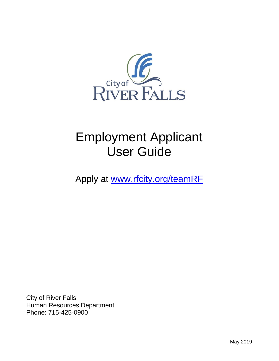

# Employment Applicant User Guide

Apply at [www.rfcity.org/teamRF](file://///rfcity.org/DFS1/data/Communications/HR/www.rfcity.org/teamRF)

City of River Falls Human Resources Department Phone: 715-425-0900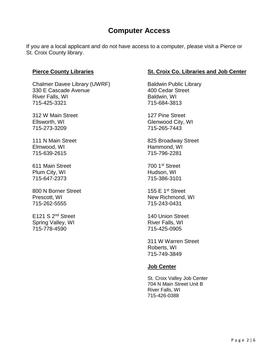# **Computer Access**

If you are a local applicant and do not have access to a computer, please visit a Pierce or St. Croix County library.

#### **Pierce County Libraries**

Chalmer Davee Library (UWRF) 330 E Cascade Avenue River Falls, WI 715-425-3321

312 W Main Street Ellsworth, WI 715-273-3209

111 N Main Street Elmwood, WI 715-639-2615

611 Main Street Plum City, WI 715-647-2373

800 N Borner Street Prescott, WI 715-262-5555

E121 S 2nd Street Spring Valley, WI 715-778-4590

#### **St. Croix Co. Libraries and Job Center**

Baldwin Public Library 400 Cedar Street Baldwin, WI 715-684-3813

127 Pine Street Glenwood City, WI 715-265-7443

825 Broadway Street Hammond, WI 715-796-2281

700 1st Street Hudson, WI 715-386-3101

155 E 1st Street New Richmond, WI 715-243-0431

140 Union Street River Falls, WI 715-425-0905

311 W Warren Street Roberts, WI 715-749-3849

#### **Job Center**

St. Croix Valley Job Center 704 N Main Street Unit B River Falls, WI 715-426-0388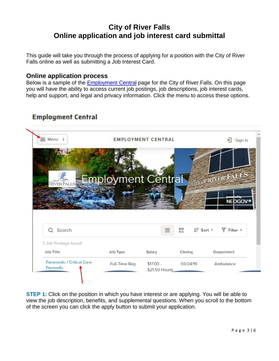# **City of River Falls Online application and job interest card submittal**

This guide will take you through the process of applying for a position with the City of River Falls online as well as submitting a Job Interest Card.

#### **Online application process**

Below is a sample of the **Employment Central** page for the City of River Falls. On this page you will have the ability to access current job postings, job descriptions, job interest cards, help and support, and legal and privacy information. Click the menu to access these options.

## **Employment Central**



**STEP 1:** Click on the position in which you have interest or are applying. You will be able to view the job description, benefits, and supplemental questions. When you scroll to the bottom of the screen you can click the apply button to submit your application.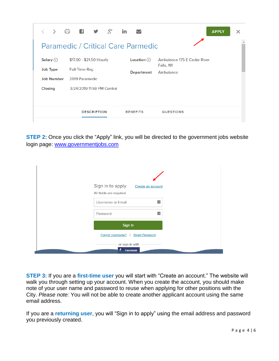|                   | > 白 6 5 8                                 | in                | <b>APPLY</b>                             | × |
|-------------------|-------------------------------------------|-------------------|------------------------------------------|---|
|                   | <b>Paramedic / Critical Care Parmedic</b> |                   |                                          |   |
| Salary $(i)$      | \$17.00 - \$21.50 Hourly                  | Location(i)       | Ambulance 175 E Cedar River<br>Falls, WI |   |
| <b>Job Type</b>   | <b>Full-Time Reg</b>                      | <b>Department</b> | Ambulance                                |   |
| <b>Job Number</b> | 2019 Paramedic                            |                   |                                          |   |
| <b>Closing</b>    | 3/24/2019 11:59 PM Central                |                   |                                          |   |
|                   | <b>DESCRIPTION</b>                        | <b>BENEFITS</b>   | <b>QUESTIONS</b>                         |   |

**STEP 2:** Once you click the "Apply" link, you will be directed to the government jobs website login page: [www.governmentjobs.com](http://www.governmentjobs.com/)

| Sign in to apply<br>All fields are required | Create an account                 |  |  |  |
|---------------------------------------------|-----------------------------------|--|--|--|
| Username or Email                           | --1                               |  |  |  |
| Password                                    | --1                               |  |  |  |
|                                             | Sign In                           |  |  |  |
|                                             | Forgot Username?   Reset Password |  |  |  |
| £                                           | or sign in with<br>Facebook       |  |  |  |

**STEP 3:** If you are a **first-time user** you will start with "Create an account." The website will walk you through setting up your account. When you create the account, you should make note of your user name and password to reuse when applying for other positions with the City. *Please note:* You will not be able to create another applicant account using the same email address.

If you are a **returning user**, you will "Sign in to apply" using the email address and password you previously created.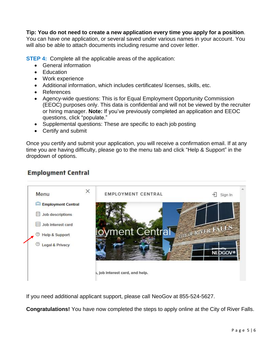#### **Tip: You do not need to create a new application every time you apply for a position**.

You can have one application, or several saved under various names in your account. You will also be able to attach documents including resume and cover letter.

**STEP 4:** Complete all the applicable areas of the application:

- General information
- **Education**
- Work experience
- Additional information, which includes certificates/ licenses, skills, etc.
- References
- Agency-wide questions: This is for Equal Employment Opportunity Commission (EEOC) purposes only. This data is confidential and will not be viewed by the recruiter or hiring manager. **Note:** If you've previously completed an application and EEOC questions, click "populate."
- Supplemental questions: These are specific to each job posting
- Certify and submit

Once you certify and submit your application, you will receive a confirmation email. If at any time you are having difficulty, please go to the menu tab and click "Help & Support" in the dropdown of options.

### **Employment Central**



If you need additional applicant support, please call NeoGov at 855-524-5627.

**Congratulations!** You have now completed the steps to apply online at the City of River Falls.